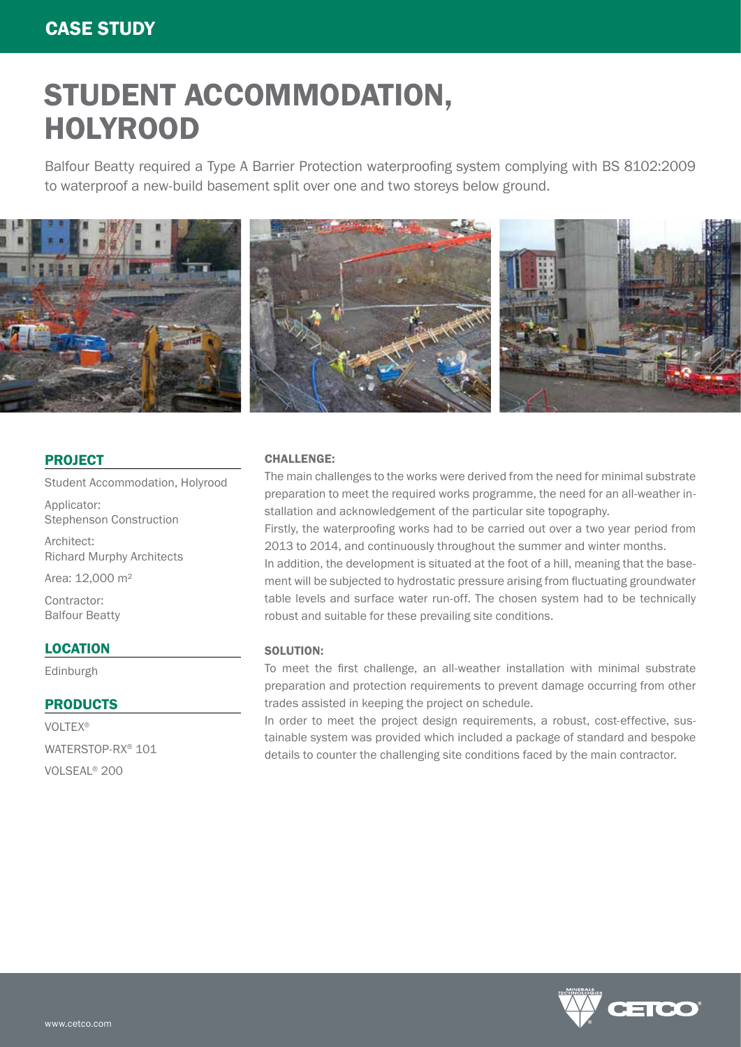# STUDENT ACCOMMODATION, HOLYROOD

Balfour Beatty required a Type A Barrier Protection waterproofing system complying with BS 8102:2009 to waterproof a new-build basement split over one and two storeys below ground.



#### PROJECT

Student Accommodation, Holyrood

Applicator: Stephenson Construction

Architect: Richard Murphy Architects

Area: 12,000 m²

Contractor: Balfour Beatty

### LOCATION

Edinburgh

#### **PRODUCTS**

VOLTEX® WATERSTOP-RX® 101 VOLSEAL® 200

#### CHALLENGE:

The main challenges to the works were derived from the need for minimal substrate preparation to meet the required works programme, the need for an all-weather installation and acknowledgement of the particular site topography.

Firstly, the waterproofing works had to be carried out over a two year period from 2013 to 2014, and continuously throughout the summer and winter months.

In addition, the development is situated at the foot of a hill, meaning that the basement will be subjected to hydrostatic pressure arising from fluctuating groundwater table levels and surface water run-off. The chosen system had to be technically robust and suitable for these prevailing site conditions.

#### SOLUTION:

To meet the first challenge, an all-weather installation with minimal substrate preparation and protection requirements to prevent damage occurring from other trades assisted in keeping the project on schedule.

In order to meet the project design requirements, a robust, cost-effective, sustainable system was provided which included a package of standard and bespoke details to counter the challenging site conditions faced by the main contractor.